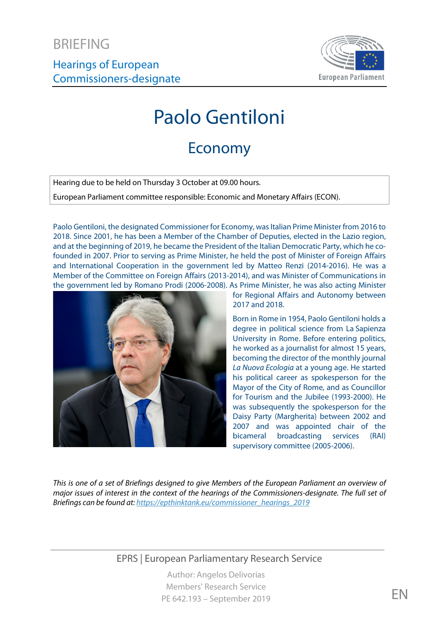Hearings of European Commissioners-designate



# Paolo Gentiloni

## Economy

Hearing due to be held on Thursday 3 October at 09.00 hours.

European Parliament committee responsible: Economic and Monetary Affairs (ECON).

Paolo Gentiloni, the designated Commissioner for Economy, was Italian Prime Minister from 2016 to 2018. Since 2001, he has been a Member of the Chamber of Deputies, elected in the Lazio region, and at the beginning of 2019, he became the President of the Italian Democratic Party, which he cofounded in 2007. Prior to serving as Prime Minister, he held the post of Minister of Foreign Affairs and International Cooperation in the government led by Matteo Renzi (2014-2016). He was a Member of the Committee on Foreign Affairs (2013-2014), and was Minister of Communications in the government led by Romano Prodi (2006-2008). As Prime Minister, he was also acting Minister



for Regional Affairs and Autonomy between 2017 and 2018.

Born in Rome in 1954, Paolo Gentiloni holds a degree in political science from La Sapienza University in Rome. Before entering politics, he worked as a journalist for almost 15 years, becoming the director of the monthly journal *La Nuova Ecologia* at a young age. He started his political career as spokesperson for the Mayor of the City of Rome, and as Councillor for Tourism and the Jubilee (1993-2000). He was subsequently the spokesperson for the Daisy Party (Margherita) between 2002 and 2007 and was appointed chair of the bicameral broadcasting services (RAI) supervisory committee (2005-2006).

*This is one of a set of Briefings designed to give Members of the European Parliament an overview of major issues of interest in the context of the hearings of the Commissioners-designate. The full set of Briefings can be found at[: https://epthinktank.eu/commissioner\\_hearings\\_2019](https://epthinktank.eu/commissioner_hearings_2019)*

EPRS | European Parliamentary Research Service

Author: Angelos Delivorias Members' Research Service PE 642.193 – September 2019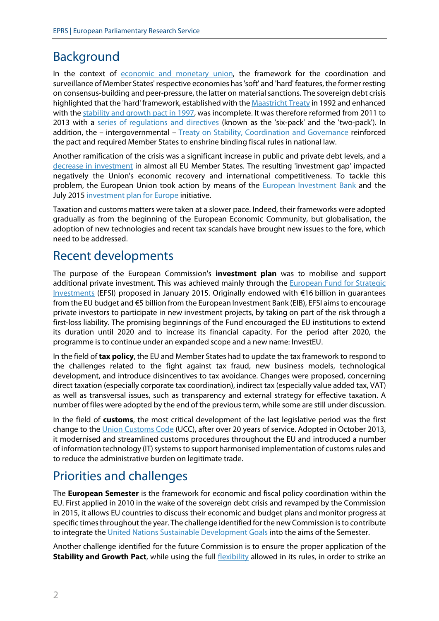## Background

In the context of [economic and monetary union,](https://ec.europa.eu/info/business-economy-euro/economic-and-fiscal-policy-coordination/economic-and-monetary-union_en) the framework for the coordination and surveillance of Member States' respective economies has 'soft' and 'hard' features, the former resting on consensus-building and peer-pressure, the latter on material sanctions. The sovereign debt crisis highlighted that the 'hard' framework, established with th[e Maastricht Treaty](https://eur-lex.europa.eu/legal-content/EN/TXT/?uri=OJ:JOC_1992_191_R_0001_01) in 1992 and enhanced with th[e stability and growth pact in 1997,](https://ec.europa.eu/info/business-economy-euro/economic-and-fiscal-policy-coordination/eu-economic-governance-monitoring-prevention-correction/stability-and-growth-pact_en) was incomplete. It was therefore reformed from 2011 to 2013 with a [series of regulations and directives](https://ec.europa.eu/info/business-economy-euro/economic-and-fiscal-policy-coordination/eu-economic-governance-monitoring-prevention-correction/stability-and-growth-pact/history-stability-and-growth-pact_en) (known as the 'six-pack' and the 'two-pack'). In addition, the - intergovernmental - [Treaty on Stability, Coordination and Governance](https://eur-lex.europa.eu/legal-content/EN/TXT/?uri=LEGISSUM%3A1403_3) reinforced the pact and required Member States to enshrine binding fiscal rules in national law.

Another ramification of the crisis was a significant increase in public and private debt levels, and a [decrease in investment](https://epthinktank.eu/2017/01/30/economic-and-budgetary-outlook-for-the-european-union-2017/) in almost all EU Member States. The resulting 'investment gap' impacted negatively the Union's economic recovery and international competitiveness. To tackle this problem, the European Union took action by means of the [European Investment Bank](https://www.eib.org/en/about/index.htm) and the July 2015 [investment plan for Europe](https://ec.europa.eu/commission/priorities/jobs-growth-and-investment/investment-plan-europe-juncker-plan/what-investment-plan-europe_en) initiative.

Taxation and customs matters were taken at a slower pace. Indeed, their frameworks were adopted gradually as from the beginning of the European Economic Community, but globalisation, the adoption of new technologies and recent tax scandals have brought new issues to the fore, which need to be addressed.

#### Recent developments

The purpose of the European Commission's **investment plan** was to mobilise and support additional private investment. This was achieved mainly through the European Fund for Strategic [Investments](https://ec.europa.eu/commission/priorities/jobs-growth-and-investment/investment-plan-europe-juncker-plan/european-fund-strategic-investments-efsi_en) (EFSI) proposed in January 2015. Originally endowed with €16 billion in guarantees from the EU budget and €5 billion from the European Investment Bank (EIB), EFSI aimsto encourage private investors to participate in new investment projects, by taking on part of the risk through a first-loss liability. The promising beginnings of the Fund encouraged the EU institutions to extend its duration until 2020 and to increase its financial capacity. For the period after 2020, the programme is to continue under an expanded scope and a new name: InvestEU.

In the field of **tax policy**, the EU and Member States had to update the tax framework to respond to the challenges related to the fight against tax fraud, new business models, technological development, and introduce disincentives to tax avoidance. Changes were proposed, concerning direct taxation (especially corporate tax coordination), indirect tax (especially value added tax, VAT) as well as transversal issues, such as transparency and external strategy for effective taxation. A number of files were adopted by the end of the previous term, while some are still under discussion.

In the field of **customs**, the most critical development of the last legislative period was the first change to the *Union Customs Code* (UCC), after over 20 years of service. Adopted in October 2013, it modernised and streamlined customs procedures throughout the EU and introduced a number of information technology (IT) systems to support harmonised implementation of customs rules and to reduce the administrative burden on legitimate trade.

### Priorities and challenges

The **European Semester** is the framework for economic and fiscal policy coordination within the EU. First applied in 2010 in the wake of the sovereign debt crisis and revamped by the Commission in 2015, it allows EU countries to discuss their economic and budget plans and monitor progress at specific times throughout the year. The challenge identified for the new Commission is to contribute to integrate the [United Nations Sustainable Development Goals](https://sustainabledevelopment.un.org/?menu=1300) into the aims of the Semester.

Another challenge identified for the future Commission is to ensure the proper application of the **Stability and Growth Pact**, while using the full [flexibility](https://ec.europa.eu/info/business-economy-euro/economic-and-fiscal-policy-coordination/eu-economic-governance-monitoring-prevention-correction/stability-and-growth-pact/applying-rules-stability-and-growth-pact_en) allowed in its rules, in order to strike an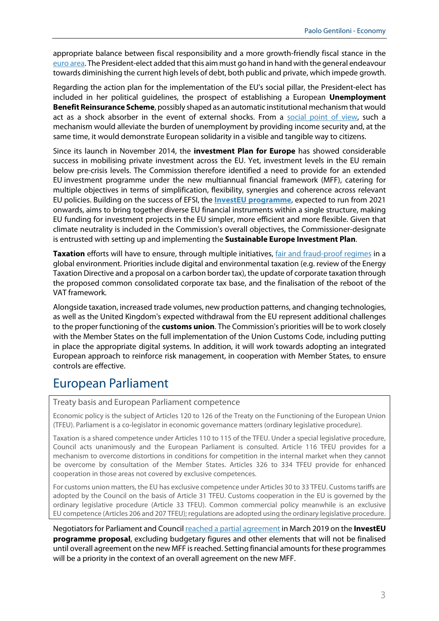appropriate balance between fiscal responsibility and a more growth-friendly fiscal stance in the [euro area.](https://ec.europa.eu/info/business-economy-euro/euro-area/what-euro-area_en) The President-elect added that this aim must go hand in hand with the general endeavour towards diminishing the current high levels of debt, both public and private, which impede growth.

Regarding the action plan for the implementation of the EU's social pillar, the President-elect has included in her political guidelines, the prospect of establishing a European **Unemployment Benefit Reinsurance Scheme**, possibly shaped as an automatic institutional mechanism that would act as a shock absorber in the event of external shocks. From a [social point of view,](https://www.eesc.europa.eu/sites/default/files/files/qe-03-19-312-en-n.pdf) such a mechanism would alleviate the burden of unemployment by providing income security and, at the same time, it would demonstrate European solidarity in a visible and tangible way to citizens.

Since its launch in November 2014, the **investment Plan for Europe** has showed considerable success in mobilising private investment across the EU. Yet, investment levels in the EU remain below pre-crisis levels. The Commission therefore identified a need to provide for an extended EU investment programme under the new multiannual financial framework (MFF), catering for multiple objectives in terms of simplification, flexibility, synergies and coherence across relevant EU policies. Building on the success of EFSI, the **[InvestEU programme](https://ec.europa.eu/commission/priorities/jobs-growth-and-investment/investment-plan-europe-juncker-plan/whats-next-investeu-programme-2021-2027_en)**, expected to run from 2021 onwards, aims to bring together diverse EU financial instruments within a single structure, making EU funding for investment projects in the EU simpler, more efficient and more flexible. Given that climate neutrality is included in the Commission's overall objectives, the Commissioner-designate is entrusted with setting up and implementing the **Sustainable Europe Investment Plan**.

**Taxation** efforts will have to ensure, through multiple initiatives, [fair and fraud-proof regimes](http://www.europarl.europa.eu/thinktank/en/document.html?reference=EPRS_BRI(2019)633153) in a global environment. Priorities include digital and environmental taxation (e.g. review of the Energy Taxation Directive and a proposal on a carbon border tax), the update of corporate taxation through the proposed common consolidated corporate tax base, and the finalisation of the reboot of the VAT framework.

Alongside taxation, increased trade volumes, new production patterns, and changing technologies, as well as the United Kingdom's expected withdrawal from the EU represent additional challenges to the proper functioning of the **customs union**. The Commission's priorities will be to work closely with the Member States on the full implementation of the Union Customs Code, including putting in place the appropriate digital systems. In addition, it will work towards adopting an integrated European approach to reinforce risk management, in cooperation with Member States, to ensure controls are effective.

### European Parliament

Treaty basis and European Parliament competence

Economic policy is the subject of Articles 120 to 126 of the Treaty on the Functioning of the European Union (TFEU). Parliament is a co-legislator in economic governance matters (ordinary legislative procedure).

Taxation is a shared competence under Articles 110 to 115 of the TFEU. Under a special legislative procedure, Council acts unanimously and the European Parliament is consulted. Article 116 TFEU provides for a mechanism to overcome distortions in conditions for competition in the internal market when they cannot be overcome by consultation of the Member States. Articles 326 to 334 TFEU provide for enhanced cooperation in those areas not covered by exclusive competences.

For customs union matters, the EU has exclusive competence under Articles 30 to 33 TFEU. Customs tariffs are adopted by the Council on the basis of Article 31 TFEU. Customs cooperation in the EU is governed by the ordinary legislative procedure (Article 33 TFEU). Common commercial policy meanwhile is an exclusive EU competence (Articles 206 and 207 TFEU); regulations are adopted using the ordinary legislative procedure.

Negotiators for Parliament and Counci[l reached a partial agreement](https://www.europarl.europa.eu/thinktank/en/document.html?reference=EPRS_BRI%282019%29635519) in March 2019 on the **InvestEU programme proposal**, excluding budgetary figures and other elements that will not be finalised until overall agreement on the new MFF is reached. Setting financial amounts for these programmes will be a priority in the context of an overall agreement on the new MFF.